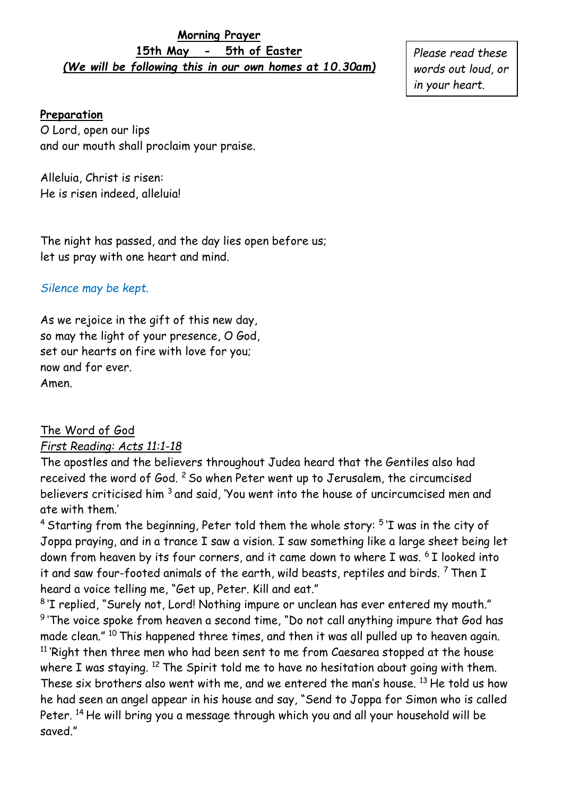#### **Morning Prayer 15th May - 5th of Easter** *(We will be following this in our own homes at 10.30am)*

*Please read these words out loud, or in your heart.* 

#### **Preparation**

O Lord, open our lips and our mouth shall proclaim your praise.

Alleluia, Christ is risen: He is risen indeed, alleluia!

The night has passed, and the day lies open before us; let us pray with one heart and mind.

## *Silence may be kept.*

As we rejoice in the gift of this new day, so may the light of your presence, O God, set our hearts on fire with love for you; now and for ever. Amen.

# The Word of God

### *First Reading: Acts 11:1-18*

The apostles and the believers throughout Judea heard that the Gentiles also had received the word of God. <sup>2</sup> So when Peter went up to Jerusalem, the circumcised believers criticised him <sup>3</sup> and said, 'You went into the house of uncircumcised men and ate with them.'

 $^4$  Starting from the beginning, Peter told them the whole story:  $^5$  'I was in the city of Joppa praying, and in a trance I saw a vision. I saw something like a large sheet being let down from heaven by its four corners, and it came down to where I was. <sup>6</sup> I looked into it and saw four-footed animals of the earth, wild beasts, reptiles and birds.  $7$  Then I heard a voice telling me, "Get up, Peter. Kill and eat."

8 'I replied, "Surely not, Lord! Nothing impure or unclean has ever entered my mouth."  $9$  'The voice spoke from heaven a second time, "Do not call anything impure that God has made clean." <sup>10</sup> This happened three times, and then it was all pulled up to heaven again.  $11$  'Right then three men who had been sent to me from Caesarea stopped at the house where I was staying. <sup>12</sup> The Spirit told me to have no hesitation about going with them. These six brothers also went with me, and we entered the man's house. <sup>13</sup> He told us how he had seen an angel appear in his house and say, "Send to Joppa for Simon who is called Peter. <sup>14</sup> He will bring you a message through which you and all your household will be saved."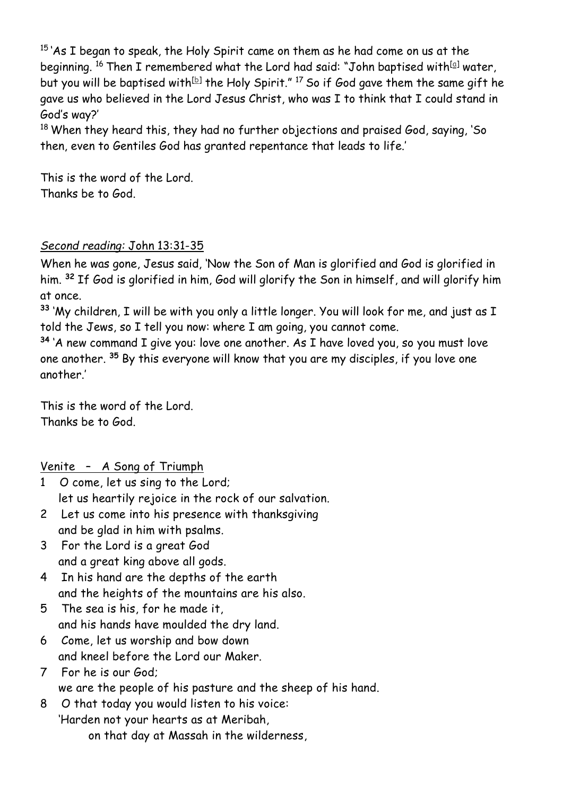$15$  As I began to speak, the Holy Spirit came on them as he had come on us at the beginning. <sup>16</sup> Then I remembered what the Lord had said: "John baptised with<sup>[a]</sup> water, but you will be baptised with $^{\rm [b]}$  the Holy Spirit."  $^{17}$  So if God gave them the same gift he gave us who believed in the Lord Jesus Christ, who was I to think that I could stand in God's way?'

<sup>18</sup> When they heard this, they had no further objections and praised God, saying, 'So then, even to Gentiles God has granted repentance that leads to life.'

This is the word of the Lord. Thanks be to God.

## *Second reading:* John 13:31-35

When he was gone, Jesus said, 'Now the Son of Man is glorified and God is glorified in him. **<sup>32</sup>** If God is glorified in him, God will glorify the Son in himself, and will glorify him at once.

**<sup>33</sup>** 'My children, I will be with you only a little longer. You will look for me, and just as I told the Jews, so I tell you now: where I am going, you cannot come.

**<sup>34</sup>** 'A new command I give you: love one another. As I have loved you, so you must love one another. **<sup>35</sup>** By this everyone will know that you are my disciples, if you love one another.'

This is the word of the Lord. Thanks be to God.

### Venite – A Song of Triumph

- 1 O come, let us sing to the Lord; let us heartily rejoice in the rock of our salvation.
- 2 Let us come into his presence with thanksgiving and be glad in him with psalms.
- 3 For the Lord is a great God and a great king above all gods.
- 4 In his hand are the depths of the earth and the heights of the mountains are his also.
- 5 The sea is his, for he made it, and his hands have moulded the dry land.
- 6 Come, let us worship and bow down and kneel before the Lord our Maker.
- 7 For he is our God; we are the people of his pasture and the sheep of his hand.
- 8 O that today you would listen to his voice: 'Harden not your hearts as at Meribah, on that day at Massah in the wilderness,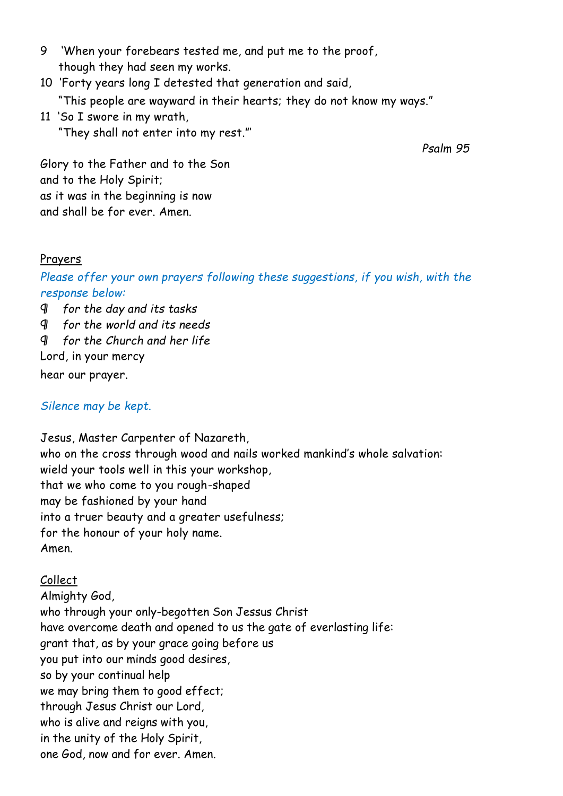- 9 'When your forebears tested me, and put me to the proof, though they had seen my works.
- 10 'Forty years long I detested that generation and said, "This people are wayward in their hearts; they do not know my ways."
- 11 'So I swore in my wrath, "They shall not enter into my rest."'

*Psalm 95*

Glory to the Father and to the Son and to the Holy Spirit; as it was in the beginning is now and shall be for ever. Amen.

### Prayers

*Please offer your own prayers following these suggestions, if you wish, with the response below:*

¶ *for the day and its tasks*

¶ *for the world and its needs*

¶ *for the Church and her life*

Lord, in your mercy

hear our prayer.

### *Silence may be kept.*

Jesus, Master Carpenter of Nazareth, who on the cross through wood and nails worked mankind's whole salvation: wield your tools well in this your workshop, that we who come to you rough-shaped may be fashioned by your hand into a truer beauty and a greater usefulness; for the honour of your holy name. Amen.

## Collect

Almighty God, who through your only-begotten Son Jessus Christ have overcome death and opened to us the gate of everlasting life: grant that, as by your grace going before us you put into our minds good desires, so by your continual help we may bring them to good effect; through Jesus Christ our Lord, who is alive and reigns with you, in the unity of the Holy Spirit, one God, now and for ever. Amen.